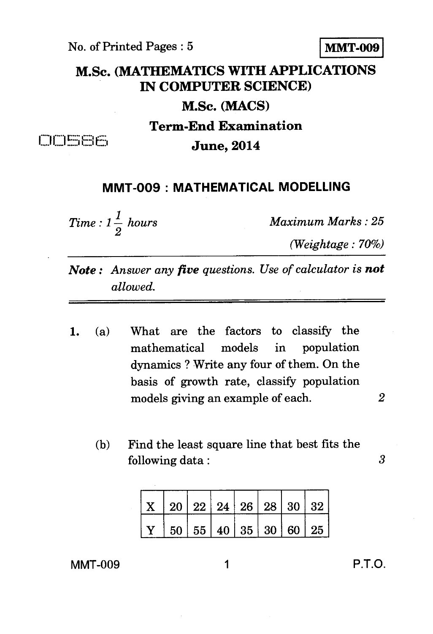No. of Printed Pages : 5 **MMT-009** 

## **M.Sc. (MATHEMATICS WITH APPLICATIONS IN COMPUTER SCIENCE) M.Sc. (MACS) Term-End Examination**

**CIDESE June, 2014** 

## **MMT-009 : MATHEMATICAL MODELLING**

*Time :*  $1\frac{1}{2}$  *hours Maximum Marks : 25* 

*(Weightage : 70%)* 

*Note : Answer any five questions. Use of calculator is not allowed.* 

- 1. (a) What are the factors to classify the mathematical models in population dynamics ? Write any four of them. On the basis of growth rate, classify population models giving an example of each. *2* 
	- (b) Find the least square line that best fits the following data : *3*

 $X \mid 20 \mid 22 \mid 24 \mid 26 \mid 28 \mid 30 \mid 32$  $\rm Y$   $\,$   $\,$  50  $\,$   $\,$  55  $\,$  40  $\,$  35  $\,$  30  $\,$  60  $\,$  25

MMT-009 **1** P.T.O.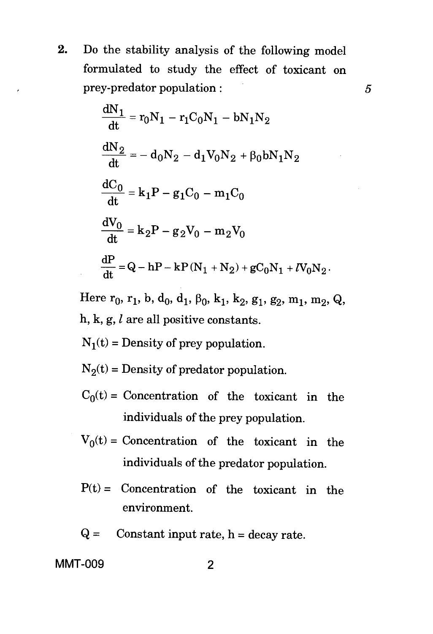2. Do the stability analysis of the following model formulated to study the effect of toxicant on prey-predator population :

5

$$
\frac{dN_1}{dt} = r_0N_1 - r_1C_0N_1 - bN_1N_2
$$
\n
$$
\frac{dN_2}{dt} = -d_0N_2 - d_1V_0N_2 + \beta_0bN_1N_2
$$
\n
$$
\frac{dC_0}{dt} = k_1P - g_1C_0 - m_1C_0
$$
\n
$$
\frac{dV_0}{dt} = k_2P - g_2V_0 - m_2V_0
$$
\n
$$
\frac{dP}{dt} = Q - hP - kP(N_1 + N_2) + gC_0N_1 + lV_0N_2.
$$

Here  $r_0$ ,  $r_1$ , b, d<sub>0</sub>, d<sub>1</sub>,  $\beta_0$ , k<sub>1</sub>, k<sub>2</sub>, g<sub>1</sub>, g<sub>2</sub>, m<sub>1</sub>, m<sub>2</sub>, Q, h, k, g,  $l$  are all positive constants.

 $N_1(t)$  = Density of prey population.

 $N_2(t)$  = Density of predator population.

- $C_0(t)$  = Concentration of the toxicant in the individuals of the prey population.
- $V_0(t)$  = Concentration of the toxicant in the individuals of the predator population.
- $P(t) =$  Concentration of the toxicant in the environment.
- $Q =$  Constant input rate,  $h =$  decay rate.

**M MT-009 2**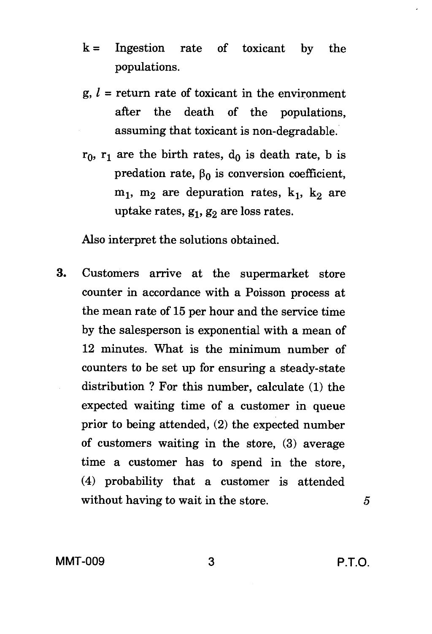- $k =$  Ingestion rate of toxicant by the populations.
- $g, l$  = return rate of toxicant in the environment after the death of the populations, assuming that toxicant is non-degradable.
- $r_0$ ,  $r_1$  are the birth rates,  $d_0$  is death rate, b is predation rate,  $\beta_0$  is conversion coefficient,  $m_1$ ,  $m_2$  are depuration rates,  $k_1$ ,  $k_2$  are uptake rates,  $g_1, g_2$  are loss rates.

Also interpret the solutions obtained.

3. Customers arrive at the supermarket store counter in accordance with a Poisson process at the mean rate of 15 per hour and the service time by the salesperson is exponential with a mean of 12 minutes. What is the minimum number of counters to be set up for ensuring a steady-state distribution ? For this number, calculate (1) the expected waiting time of a customer in queue prior to being attended, (2) the expected number of customers waiting in the store, (3) average time a customer has to spend in the store, (4) probability that a customer is attended without having to wait in the store.

5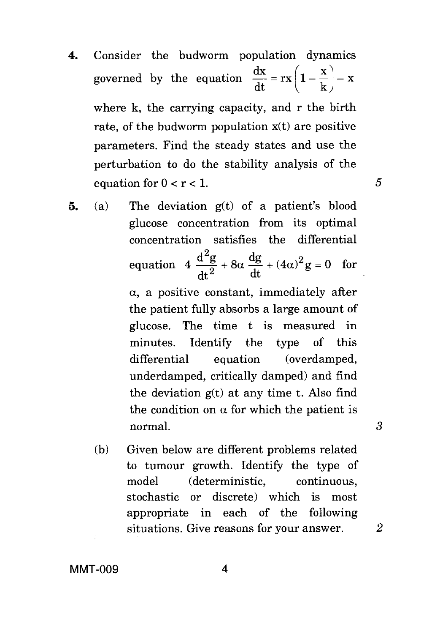4. Consider the budworm population dynamics governed by the equation  $\frac{dx}{dt} = rx \left( 1 - \frac{x}{l} \right) - x$ dt where k, the carrying capacity, and r the birth rate, of the budworm population  $x(t)$  are positive parameters. Find the steady states and use the perturbation to do the stability analysis of the equation for  $0 < r < 1$ .

5

3

- 5. (a) The deviation g(t) of a patient's blood glucose concentration from its optimal concentration satisfies the differential equation  $4 \frac{d^2g}{dt^2} + 8\alpha \frac{dg}{dt} + (4\alpha)^2 g = 0$  for  $dt^2$  dt dt  $\alpha$ , a positive constant, immediately after the patient fully absorbs a large amount of glucose. The time t is measured in minutes. Identify the type of this differential equation (overdamped, underdamped, critically damped) and find the deviation  $g(t)$  at any time t. Also find the condition on  $\alpha$  for which the patient is normal.
	- (b) Given below are different problems related to tumour growth. Identify the type of model (deterministic, continuous, stochastic or discrete) which is most appropriate in each of the following situations. Give reasons for your answer. *2*

**MMT-009** 4